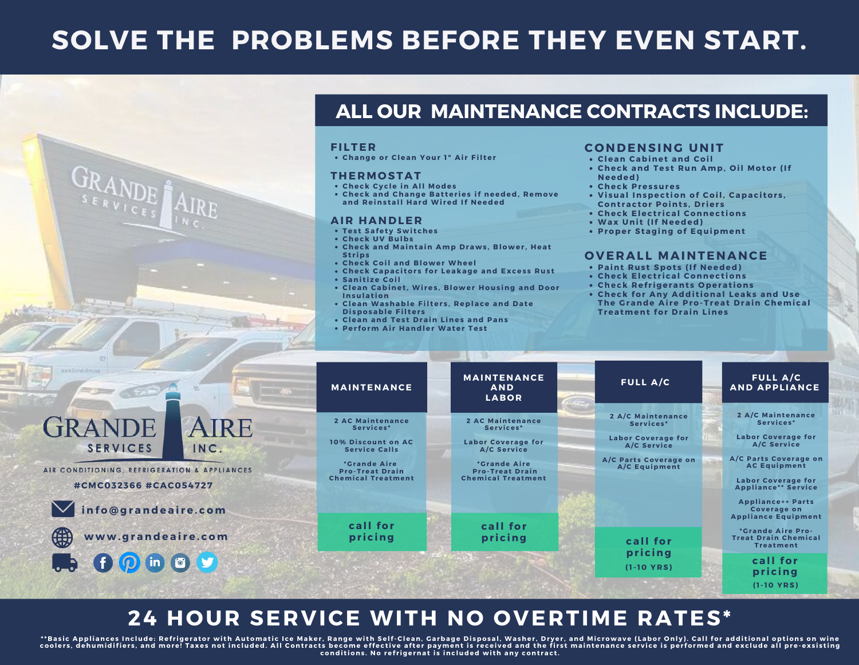# **SOLVE THE PROBLEMS BEFORE THEY EVEN START.**



### **ALL OUR MAINTENANCE CONTRACTS INCLUDE:**

#### **FI LTE R**

**Change or Clean Your 1 " Ai r Fil ter**

#### **THE RMO STAT**

- **Check Cy c le in All Modes**
- **Check and Change B at ter ies if needed, R emove and R eins tall Hard Wi red If Needed**

#### **AI R HANDLE R**

- **Tes t Safet y Swi t ches**
- **Check UV B ulbs**
- **Check and Maintain Amp Draws ,B lower , Heat St r ips**
- **Check Coil and B lower Wheel**
- **Check Capac i tor s for Leakage and Exces s R us t**
- **Sani t i ze Coil**
- **Clean Cabinet ,Wi res , B lower Hous ing and Door Insulat ion**
- **Clean Washable Fil ter s ,R eplace and Date Di sposable Fil ter s**
- **Clean and Tes t Drain L ines and Pans**
- **Per form Ai r Handler Water Tes t**

#### **C O NDENSING UNIT**

- **Clean Cabinet and Coil**
- **Check and Tes t R un Amp, O il Motor (If Needed)**
- **Check Pres sures**
- **<sup>V</sup> <sup>i</sup> sual Inspec <sup>t</sup> ion of Coil, Capac <sup>i</sup> tor <sup>s</sup> ,Cont rac tor Point <sup>s</sup> ,Dr ier <sup>s</sup>**
- **Check Elec t r i cal Connec t ions**
- **Wax Uni t (If Needed)**
- **Proper Staging of Equipment**

#### **O V E RAL L MAINTENANCE**

- **Paint R us t Spot s (If Needed)**
- **Check Elec t r i cal Connec t ions**
- **Check R ef r igerant s O perat ions**
- **Check for Any Addi t ional Leaks and Use The G rande Ai re Pro-Treat Drain Chemi cal Treatment for Drain L ines**

| pro Orbit Englis                                                                         | <b>MAINTENANCE</b>                                                          | <b>MAINTENANCE</b><br><b>AND</b><br><b>LABOR</b>                           | <b>FULL A/C</b>                                                            | <b>FULL A/C</b><br><b>AND APPLIANCE</b>                                                                                                                   |
|------------------------------------------------------------------------------------------|-----------------------------------------------------------------------------|----------------------------------------------------------------------------|----------------------------------------------------------------------------|-----------------------------------------------------------------------------------------------------------------------------------------------------------|
| FRANDE<br>AIRE<br><b>SERVICES</b><br>INC.                                                | 2 AC Maintenance<br>Services*<br>10% Discount on AC<br><b>Service Calls</b> | 2 AC Maintenance<br>Services*<br><b>Labor Coverage for</b><br>A/C Service  | 2 A/C Maintenance<br>Services*<br><b>Labor Coverage for</b><br>A/C Service | <b>2 A/C Maintenance</b><br>Services*<br><b>Labor Coverage for</b><br>A/C Service                                                                         |
| CONDITIONING, REFRIGERATION & APPLIANCES<br>#CMC032366 #CAC054727<br>info@grandeaire.com | <i>*Grande Aire</i><br><b>Pro-Treat Drain</b><br><b>Chemical Treatment</b>  | <i>*Grande Aire</i><br><b>Pro-Treat Drain</b><br><b>Chemical Treatment</b> | A/C Parts Coverage on<br>A/C Equipment                                     | A/C Parts Coverage on<br><b>AC Equipment</b><br><b>Labor Coverage for</b><br><b>Appliance** Service</b><br><b>Appliance++ Parts</b><br><b>Coverage on</b> |
| \$<br>www.grandeaire.com                                                                 | call for<br>pricing                                                         | call for<br>pricing                                                        | call for                                                                   | <b>Appliance Equipment</b><br>*Grande Aire Pro-<br><b>Treat Drain Chemical</b><br><b>Treatment</b>                                                        |
| $\bullet$ $\bullet$ $\bullet$ $\bullet$ $\bullet$ $\bullet$ $\bullet$                    |                                                                             |                                                                            | pricing<br>$(1-10 YRS)$                                                    | call for<br>pricing<br>$(1-10 YRS)$                                                                                                                       |

### **24 HOUR SERVICE WITH NO OVERTIME RATES\***

\*\*Basic Appliances Include: Refrigerator with Automatic Ice Maker, Range with Self-Clean, Garbage Disposal, Washer, Dryer, and Microwave (Labor Only). Call for additional options on wine<br>coolers, dehumidifiers, and more! T **condi t ions . No ref r igernat i s inc luded wi th any cont rac t .**